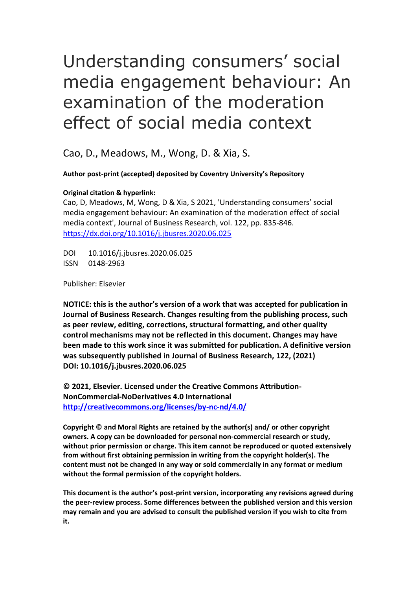# Understanding consumers' social media engagement behaviour: An examination of the moderation effect of social media context

Cao, D., Meadows, M., Wong, D. & Xia, S.

**Author post-print (accepted) deposited by Coventry University's Repository**

## **Original citation & hyperlink:**

Cao, D, Meadows, M, Wong, D & Xia, S 2021, 'Understanding consumers' social media engagement behaviour: An examination of the moderation effect of social media context', Journal of Business Research, vol. 122, pp. 835-846. <https://dx.doi.org/10.1016/j.jbusres.2020.06.025>

DOI 10.1016/j.jbusres.2020.06.025 ISSN 0148-2963

Publisher: Elsevier

**NOTICE: this is the author's version of a work that was accepted for publication in Journal of Business Research. Changes resulting from the publishing process, such as peer review, editing, corrections, structural formatting, and other quality control mechanisms may not be reflected in this document. Changes may have been made to this work since it was submitted for publication. A definitive version was subsequently published in Journal of Business Research, 122, (2021) DOI: 10.1016/j.jbusres.2020.06.025**

**© 2021, Elsevier. Licensed under the Creative Commons Attribution-NonCommercial-NoDerivatives 4.0 International <http://creativecommons.org/licenses/by-nc-nd/4.0/>**

**Copyright © and Moral Rights are retained by the author(s) and/ or other copyright owners. A copy can be downloaded for personal non-commercial research or study, without prior permission or charge. This item cannot be reproduced or quoted extensively from without first obtaining permission in writing from the copyright holder(s). The content must not be changed in any way or sold commercially in any format or medium without the formal permission of the copyright holders.** 

**This document is the author's post-print version, incorporating any revisions agreed during the peer-review process. Some differences between the published version and this version may remain and you are advised to consult the published version if you wish to cite from it.**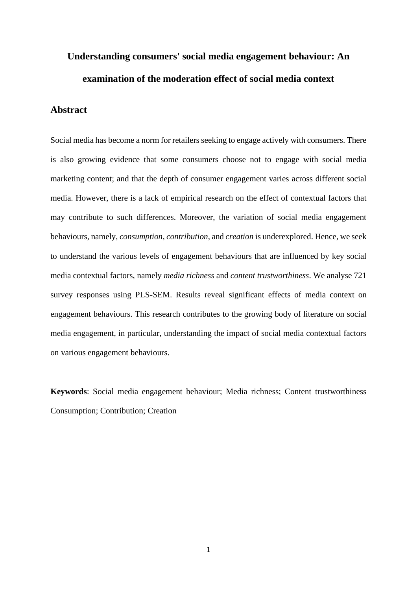## **Understanding consumers' social media engagement behaviour: An examination of the moderation effect of social media context**

## **Abstract**

Social media has become a norm for retailers seeking to engage actively with consumers. There is also growing evidence that some consumers choose not to engage with social media marketing content; and that the depth of consumer engagement varies across different social media. However, there is a lack of empirical research on the effect of contextual factors that may contribute to such differences. Moreover, the variation of social media engagement behaviours, namely, *consumption*, *contribution*, and *creation* is underexplored. Hence, we seek to understand the various levels of engagement behaviours that are influenced by key social media contextual factors, namely *media richness* and *content trustworthiness*. We analyse 721 survey responses using PLS-SEM. Results reveal significant effects of media context on engagement behaviours. This research contributes to the growing body of literature on social media engagement, in particular, understanding the impact of social media contextual factors on various engagement behaviours.

**Keywords**: Social media engagement behaviour; Media richness; Content trustworthiness Consumption; Contribution; Creation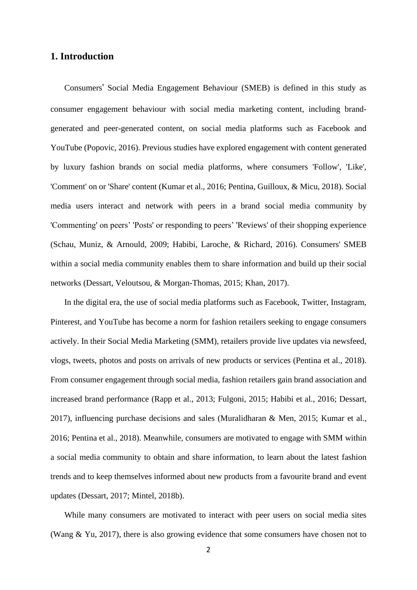## **1. Introduction**

Consumers' Social Media Engagement Behaviour (SMEB) is defined in this study as consumer engagement behaviour with social media marketing content, including brandgenerated and peer-generated content, on social media platforms such as Facebook and YouTube (Popovic, 2016). Previous studies have explored engagement with content generated by luxury fashion brands on social media platforms, where consumers 'Follow', 'Like', 'Comment' on or 'Share' content (Kumar et al., 2016; Pentina, Guilloux, & Micu, 2018). Social media users interact and network with peers in a brand social media community by 'Commenting' on peers' 'Posts' or responding to peers' 'Reviews' of their shopping experience (Schau, Muniz, & Arnould, 2009; Habibi, Laroche, & Richard, 2016). Consumers' SMEB within a social media community enables them to share information and build up their social networks (Dessart, Veloutsou, & Morgan-Thomas, 2015; Khan, 2017).

In the digital era, the use of social media platforms such as Facebook, Twitter, Instagram, Pinterest, and YouTube has become a norm for fashion retailers seeking to engage consumers actively. In their Social Media Marketing (SMM), retailers provide live updates via newsfeed, vlogs, tweets, photos and posts on arrivals of new products or services (Pentina et al., 2018). From consumer engagement through social media, fashion retailers gain brand association and increased brand performance (Rapp et al., 2013; Fulgoni, 2015; Habibi et al., 2016; Dessart, 2017), influencing purchase decisions and sales (Muralidharan & Men, 2015; Kumar et al., 2016; Pentina et al., 2018). Meanwhile, consumers are motivated to engage with SMM within a social media community to obtain and share information, to learn about the latest fashion trends and to keep themselves informed about new products from a favourite brand and event updates (Dessart, 2017; Mintel, 2018b).

While many consumers are motivated to interact with peer users on social media sites (Wang & Yu, 2017), there is also growing evidence that some consumers have chosen not to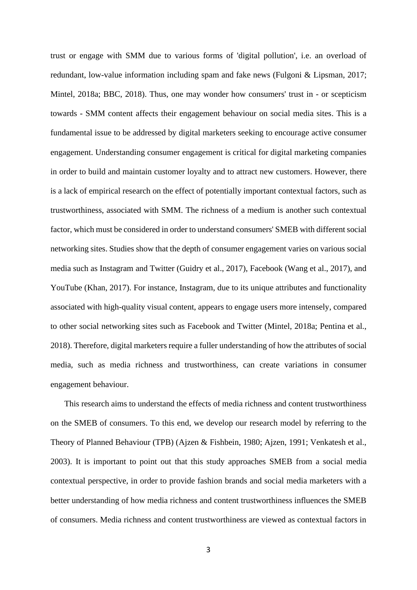trust or engage with SMM due to various forms of 'digital pollution', i.e. an overload of redundant, low-value information including spam and fake news (Fulgoni & Lipsman, 2017; Mintel, 2018a; BBC, 2018). Thus, one may wonder how consumers' trust in - or scepticism towards - SMM content affects their engagement behaviour on social media sites. This is a fundamental issue to be addressed by digital marketers seeking to encourage active consumer engagement. Understanding consumer engagement is critical for digital marketing companies in order to build and maintain customer loyalty and to attract new customers. However, there is a lack of empirical research on the effect of potentially important contextual factors, such as trustworthiness, associated with SMM. The richness of a medium is another such contextual factor, which must be considered in order to understand consumers' SMEB with different social networking sites. Studies show that the depth of consumer engagement varies on various social media such as Instagram and Twitter (Guidry et al., 2017), Facebook (Wang et al., 2017), and YouTube (Khan, 2017). For instance, Instagram, due to its unique attributes and functionality associated with high-quality visual content, appears to engage users more intensely, compared to other social networking sites such as Facebook and Twitter (Mintel, 2018a; Pentina et al., 2018). Therefore, digital marketers require a fuller understanding of how the attributes of social media, such as media richness and trustworthiness, can create variations in consumer engagement behaviour.

This research aims to understand the effects of media richness and content trustworthiness on the SMEB of consumers. To this end, we develop our research model by referring to the Theory of Planned Behaviour (TPB) (Ajzen & Fishbein, 1980; Ajzen, 1991; Venkatesh et al., 2003). It is important to point out that this study approaches SMEB from a social media contextual perspective, in order to provide fashion brands and social media marketers with a better understanding of how media richness and content trustworthiness influences the SMEB of consumers. Media richness and content trustworthiness are viewed as contextual factors in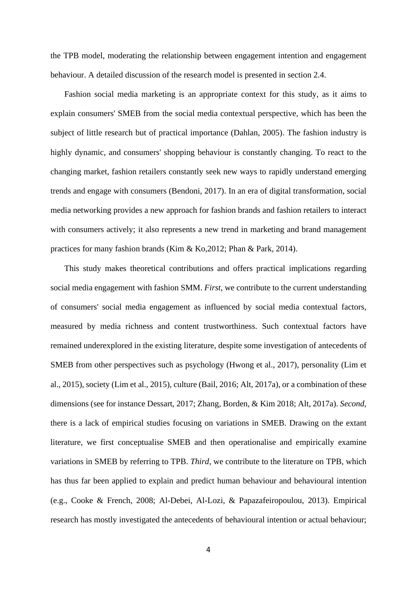the TPB model, moderating the relationship between engagement intention and engagement behaviour. A detailed discussion of the research model is presented in section 2.4.

Fashion social media marketing is an appropriate context for this study, as it aims to explain consumers' SMEB from the social media contextual perspective, which has been the subject of little research but of practical importance (Dahlan, 2005). The fashion industry is highly dynamic, and consumers' shopping behaviour is constantly changing. To react to the changing market, fashion retailers constantly seek new ways to rapidly understand emerging trends and engage with consumers (Bendoni, 2017). In an era of digital transformation, social media networking provides a new approach for fashion brands and fashion retailers to interact with consumers actively; it also represents a new trend in marketing and brand management practices for many fashion brands (Kim & Ko,2012; Phan & Park, 2014).

This study makes theoretical contributions and offers practical implications regarding social media engagement with fashion SMM. *First*, we contribute to the current understanding of consumers' social media engagement as influenced by social media contextual factors, measured by media richness and content trustworthiness. Such contextual factors have remained underexplored in the existing literature, despite some investigation of antecedents of SMEB from other perspectives such as psychology (Hwong et al., 2017), personality (Lim et al., 2015), society (Lim et al., 2015), culture (Bail, 2016; Alt, 2017a), or a combination of these dimensions (see for instance Dessart, 2017; Zhang, Borden, & Kim 2018; Alt, 2017a). *Second*, there is a lack of empirical studies focusing on variations in SMEB. Drawing on the extant literature, we first conceptualise SMEB and then operationalise and empirically examine variations in SMEB by referring to TPB. *Third*, we contribute to the literature on TPB, which has thus far been applied to explain and predict human behaviour and behavioural intention (e.g., Cooke & French, 2008; Al-Debei, Al-Lozi, & Papazafeiropoulou, 2013). Empirical research has mostly investigated the antecedents of behavioural intention or actual behaviour;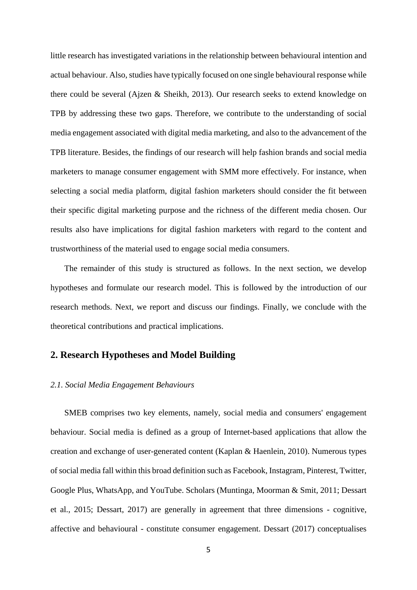little research has investigated variations in the relationship between behavioural intention and actual behaviour. Also, studies have typically focused on one single behavioural response while there could be several (Ajzen & Sheikh, 2013). Our research seeks to extend knowledge on TPB by addressing these two gaps. Therefore, we contribute to the understanding of social media engagement associated with digital media marketing, and also to the advancement of the TPB literature. Besides, the findings of our research will help fashion brands and social media marketers to manage consumer engagement with SMM more effectively. For instance, when selecting a social media platform, digital fashion marketers should consider the fit between their specific digital marketing purpose and the richness of the different media chosen. Our results also have implications for digital fashion marketers with regard to the content and trustworthiness of the material used to engage social media consumers.

The remainder of this study is structured as follows. In the next section, we develop hypotheses and formulate our research model. This is followed by the introduction of our research methods. Next, we report and discuss our findings. Finally, we conclude with the theoretical contributions and practical implications.

## **2. Research Hypotheses and Model Building**

#### *2.1. Social Media Engagement Behaviours*

SMEB comprises two key elements, namely, social media and consumers' engagement behaviour. Social media is defined as a group of Internet-based applications that allow the creation and exchange of user-generated content (Kaplan & Haenlein, 2010). Numerous types of social media fall within this broad definition such as Facebook, Instagram, Pinterest, Twitter, Google Plus, WhatsApp, and YouTube. Scholars (Muntinga, Moorman & Smit, 2011; Dessart et al., 2015; Dessart, 2017) are generally in agreement that three dimensions - cognitive, affective and behavioural - constitute consumer engagement. Dessart (2017) conceptualises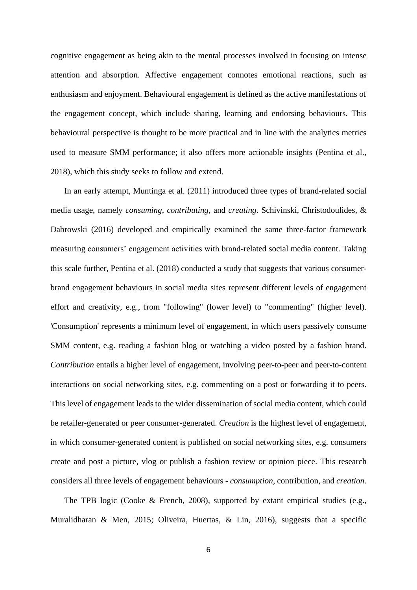cognitive engagement as being akin to the mental processes involved in focusing on intense attention and absorption. Affective engagement connotes emotional reactions, such as enthusiasm and enjoyment. Behavioural engagement is defined as the active manifestations of the engagement concept, which include sharing, learning and endorsing behaviours. This behavioural perspective is thought to be more practical and in line with the analytics metrics used to measure SMM performance; it also offers more actionable insights (Pentina et al., 2018), which this study seeks to follow and extend.

In an early attempt, Muntinga et al. (2011) introduced three types of brand-related social media usage, namely *consuming*, *contributing*, and *creating*. Schivinski, Christodoulides, & Dabrowski (2016) developed and empirically examined the same three-factor framework measuring consumers' engagement activities with brand-related social media content. Taking this scale further, Pentina et al. (2018) conducted a study that suggests that various consumerbrand engagement behaviours in social media sites represent different levels of engagement effort and creativity, e.g., from "following" (lower level) to "commenting" (higher level). 'Consumption' represents a minimum level of engagement, in which users passively consume SMM content, e.g. reading a fashion blog or watching a video posted by a fashion brand. *Contribution* entails a higher level of engagement, involving peer-to-peer and peer-to-content interactions on social networking sites, e.g. commenting on a post or forwarding it to peers. This level of engagement leads to the wider dissemination of social media content, which could be retailer-generated or peer consumer-generated. *Creation* is the highest level of engagement, in which consumer-generated content is published on social networking sites, e.g. consumers create and post a picture, vlog or publish a fashion review or opinion piece. This research considers all three levels of engagement behaviours - *consumption*, contribution, and *creation*.

The TPB logic (Cooke & French, 2008), supported by extant empirical studies (e.g., Muralidharan & Men, 2015; Oliveira, Huertas, & Lin, 2016), suggests that a specific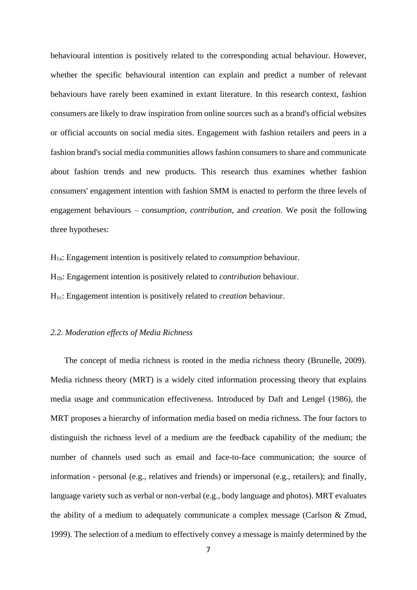behavioural intention is positively related to the corresponding actual behaviour. However, whether the specific behavioural intention can explain and predict a number of relevant behaviours have rarely been examined in extant literature. In this research context, fashion consumers are likely to draw inspiration from online sources such as a brand's official websites or official accounts on social media sites. Engagement with fashion retailers and peers in a fashion brand's social media communities allows fashion consumers to share and communicate about fashion trends and new products. This research thus examines whether fashion consumers' engagement intention with fashion SMM is enacted to perform the three levels of engagement behaviours – *consumption*, *contribution*, and *creation*. We posit the following three hypotheses:

H1a: Engagement intention is positively related to *consumption* behaviour.

H1b: Engagement intention is positively related to *contribution* behaviour.

H1c: Engagement intention is positively related to *creation* behaviour.

#### *2.2. Moderation effects of Media Richness*

The concept of media richness is rooted in the media richness theory (Brunelle, 2009). Media richness theory (MRT) is a widely cited information processing theory that explains media usage and communication effectiveness. Introduced by Daft and Lengel (1986), the MRT proposes a hierarchy of information media based on media richness. The four factors to distinguish the richness level of a medium are the feedback capability of the medium; the number of channels used such as email and face-to-face communication; the source of information - personal (e.g., relatives and friends) or impersonal (e.g., retailers); and finally, language variety such as verbal or non-verbal (e.g., body language and photos). MRT evaluates the ability of a medium to adequately communicate a complex message (Carlson & Zmud, 1999). The selection of a medium to effectively convey a message is mainly determined by the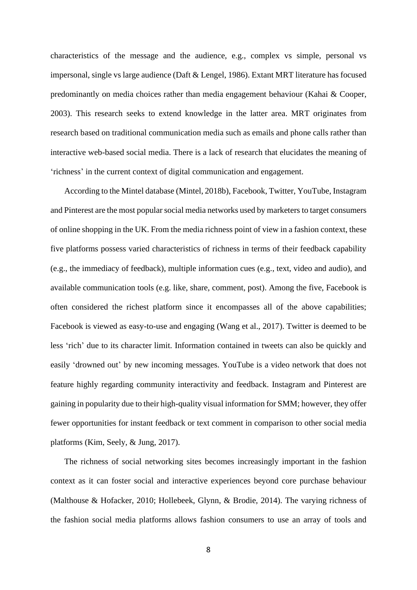characteristics of the message and the audience, e.g., complex vs simple, personal vs impersonal, single vs large audience (Daft & Lengel, 1986). Extant MRT literature has focused predominantly on media choices rather than media engagement behaviour (Kahai & Cooper, 2003). This research seeks to extend knowledge in the latter area. MRT originates from research based on traditional communication media such as emails and phone calls rather than interactive web-based social media. There is a lack of research that elucidates the meaning of 'richness' in the current context of digital communication and engagement.

According to the Mintel database (Mintel, 2018b), Facebook, Twitter, YouTube, Instagram and Pinterest are the most popular social media networks used by marketers to target consumers of online shopping in the UK. From the media richness point of view in a fashion context, these five platforms possess varied characteristics of richness in terms of their feedback capability (e.g., the immediacy of feedback), multiple information cues (e.g., text, video and audio), and available communication tools (e.g. like, share, comment, post). Among the five, Facebook is often considered the richest platform since it encompasses all of the above capabilities; Facebook is viewed as easy-to-use and engaging (Wang et al., 2017). Twitter is deemed to be less 'rich' due to its character limit. Information contained in tweets can also be quickly and easily 'drowned out' by new incoming messages. YouTube is a video network that does not feature highly regarding community interactivity and feedback. Instagram and Pinterest are gaining in popularity due to their high-quality visual information for SMM; however, they offer fewer opportunities for instant feedback or text comment in comparison to other social media platforms (Kim, Seely, & Jung, 2017).

The richness of social networking sites becomes increasingly important in the fashion context as it can foster social and interactive experiences beyond core purchase behaviour (Malthouse & Hofacker, 2010; Hollebeek, Glynn, & Brodie, 2014). The varying richness of the fashion social media platforms allows fashion consumers to use an array of tools and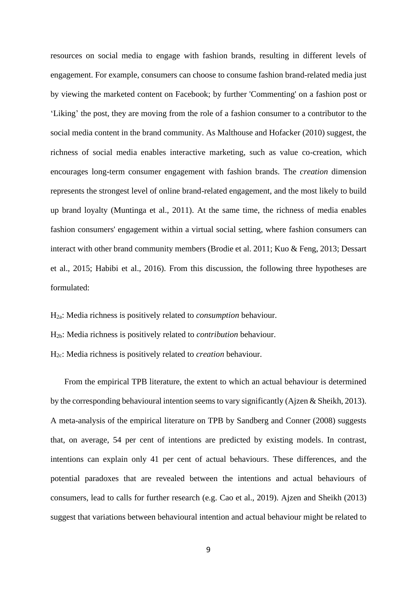resources on social media to engage with fashion brands, resulting in different levels of engagement. For example, consumers can choose to consume fashion brand-related media just by viewing the marketed content on Facebook; by further 'Commenting' on a fashion post or 'Liking' the post, they are moving from the role of a fashion consumer to a contributor to the social media content in the brand community. As Malthouse and Hofacker (2010) suggest, the richness of social media enables interactive marketing, such as value co-creation, which encourages long-term consumer engagement with fashion brands. The *creation* dimension represents the strongest level of online brand-related engagement, and the most likely to build up brand loyalty (Muntinga et al., 2011). At the same time, the richness of media enables fashion consumers' engagement within a virtual social setting, where fashion consumers can interact with other brand community members (Brodie et al. 2011; Kuo & Feng, 2013; Dessart et al., 2015; Habibi et al., 2016). From this discussion, the following three hypotheses are formulated:

H2a: Media richness is positively related to *consumption* behaviour.

H2b: Media richness is positively related to *contribution* behaviour.

H2c: Media richness is positively related to *creation* behaviour.

From the empirical TPB literature, the extent to which an actual behaviour is determined by the corresponding behavioural intention seems to vary significantly (Ajzen & Sheikh, 2013). A meta-analysis of the empirical literature on TPB by Sandberg and Conner (2008) suggests that, on average, 54 per cent of intentions are predicted by existing models. In contrast, intentions can explain only 41 per cent of actual behaviours. These differences, and the potential paradoxes that are revealed between the intentions and actual behaviours of consumers, lead to calls for further research (e.g. Cao et al., 2019). Ajzen and Sheikh (2013) suggest that variations between behavioural intention and actual behaviour might be related to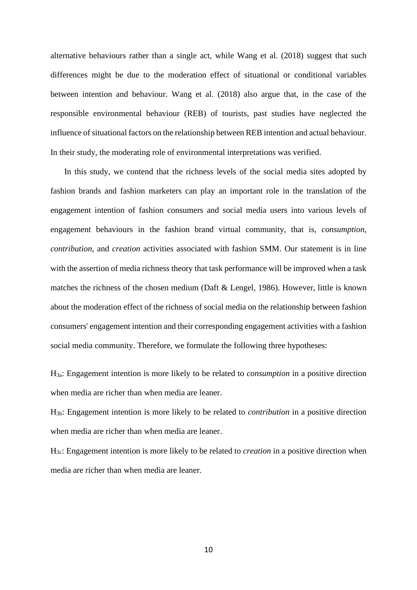alternative behaviours rather than a single act, while Wang et al. (2018) suggest that such differences might be due to the moderation effect of situational or conditional variables between intention and behaviour. Wang et al. (2018) also argue that, in the case of the responsible environmental behaviour (REB) of tourists, past studies have neglected the influence of situational factors on the relationship between REB intention and actual behaviour. In their study, the moderating role of environmental interpretations was verified.

In this study, we contend that the richness levels of the social media sites adopted by fashion brands and fashion marketers can play an important role in the translation of the engagement intention of fashion consumers and social media users into various levels of engagement behaviours in the fashion brand virtual community, that is, *consumption*, *contribution*, and *creation* activities associated with fashion SMM. Our statement is in line with the assertion of media richness theory that task performance will be improved when a task matches the richness of the chosen medium (Daft & Lengel, 1986). However, little is known about the moderation effect of the richness of social media on the relationship between fashion consumers' engagement intention and their corresponding engagement activities with a fashion social media community. Therefore, we formulate the following three hypotheses:

H3a: Engagement intention is more likely to be related to *consumption* in a positive direction when media are richer than when media are leaner.

H3b: Engagement intention is more likely to be related to *contribution* in a positive direction when media are richer than when media are leaner.

H3c: Engagement intention is more likely to be related to *creation* in a positive direction when media are richer than when media are leaner.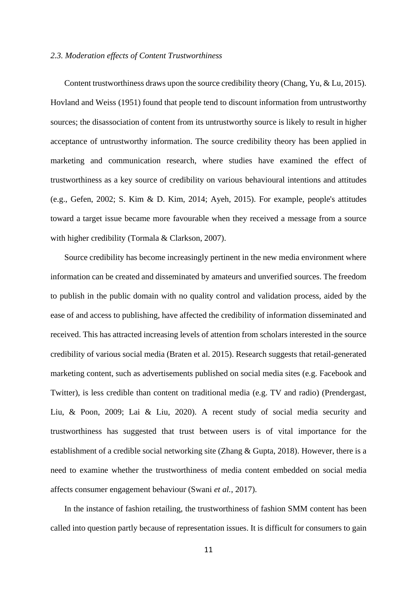#### *2.3. Moderation effects of Content Trustworthiness*

Content trustworthiness draws upon the source credibility theory (Chang, Yu, & Lu, 2015). Hovland and Weiss (1951) found that people tend to discount information from untrustworthy sources; the disassociation of content from its untrustworthy source is likely to result in higher acceptance of untrustworthy information. The source credibility theory has been applied in marketing and communication research, where studies have examined the effect of trustworthiness as a key source of credibility on various behavioural intentions and attitudes (e.g., Gefen, 2002; S. Kim & D. Kim, 2014; Ayeh, 2015). For example, people's attitudes toward a target issue became more favourable when they received a message from a source with higher credibility (Tormala & Clarkson, 2007).

Source credibility has become increasingly pertinent in the new media environment where information can be created and disseminated by amateurs and unverified sources. The freedom to publish in the public domain with no quality control and validation process, aided by the ease of and access to publishing, have affected the credibility of information disseminated and received. This has attracted increasing levels of attention from scholars interested in the source credibility of various social media (Braten et al. 2015). Research suggests that retail-generated marketing content, such as advertisements published on social media sites (e.g. Facebook and Twitter), is less credible than content on traditional media (e.g. TV and radio) (Prendergast, Liu, & Poon, 2009; Lai & Liu, 2020). A recent study of social media security and trustworthiness has suggested that trust between users is of vital importance for the establishment of a credible social networking site (Zhang & Gupta, 2018). However, there is a need to examine whether the trustworthiness of media content embedded on social media affects consumer engagement behaviour (Swani *et al.*, 2017).

In the instance of fashion retailing, the trustworthiness of fashion SMM content has been called into question partly because of representation issues. It is difficult for consumers to gain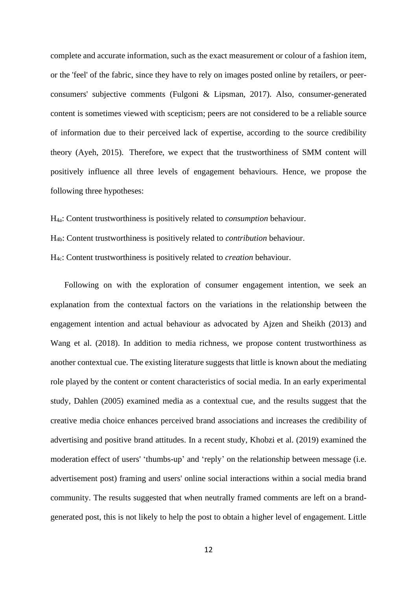complete and accurate information, such as the exact measurement or colour of a fashion item, or the 'feel' of the fabric, since they have to rely on images posted online by retailers, or peerconsumers' subjective comments (Fulgoni & Lipsman, 2017). Also, consumer-generated content is sometimes viewed with scepticism; peers are not considered to be a reliable source of information due to their perceived lack of expertise, according to the source credibility theory (Ayeh, 2015). Therefore, we expect that the trustworthiness of SMM content will positively influence all three levels of engagement behaviours. Hence, we propose the following three hypotheses:

H4a: Content trustworthiness is positively related to *consumption* behaviour.

- H4b: Content trustworthiness is positively related to *contribution* behaviour.
- H4c: Content trustworthiness is positively related to *creation* behaviour.

Following on with the exploration of consumer engagement intention, we seek an explanation from the contextual factors on the variations in the relationship between the engagement intention and actual behaviour as advocated by Ajzen and Sheikh (2013) and Wang et al. (2018). In addition to media richness, we propose content trustworthiness as another contextual cue. The existing literature suggests that little is known about the mediating role played by the content or content characteristics of social media. In an early experimental study, Dahlen (2005) examined media as a contextual cue, and the results suggest that the creative media choice enhances perceived brand associations and increases the credibility of advertising and positive brand attitudes. In a recent study, Khobzi et al. (2019) examined the moderation effect of users' 'thumbs-up' and 'reply' on the relationship between message (i.e. advertisement post) framing and users' online social interactions within a social media brand community. The results suggested that when neutrally framed comments are left on a brandgenerated post, this is not likely to help the post to obtain a higher level of engagement. Little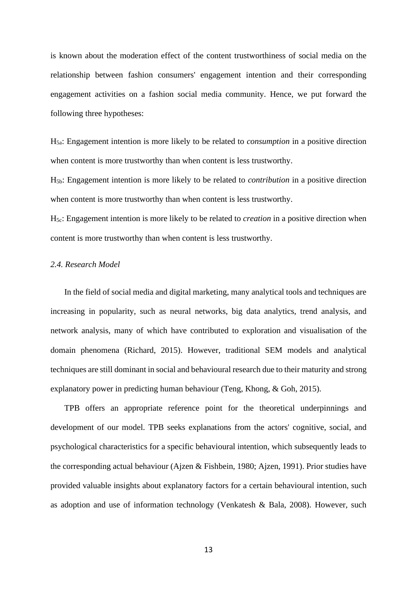is known about the moderation effect of the content trustworthiness of social media on the relationship between fashion consumers' engagement intention and their corresponding engagement activities on a fashion social media community. Hence, we put forward the following three hypotheses:

H5a: Engagement intention is more likely to be related to *consumption* in a positive direction when content is more trustworthy than when content is less trustworthy.

H5b: Engagement intention is more likely to be related to *contribution* in a positive direction when content is more trustworthy than when content is less trustworthy.

H5c: Engagement intention is more likely to be related to *creation* in a positive direction when content is more trustworthy than when content is less trustworthy.

## *2.4. Research Model*

In the field of social media and digital marketing, many analytical tools and techniques are increasing in popularity, such as neural networks, big data analytics, trend analysis, and network analysis, many of which have contributed to exploration and visualisation of the domain phenomena (Richard, 2015). However, traditional SEM models and analytical techniques are still dominant in social and behavioural research due to their maturity and strong explanatory power in predicting human behaviour (Teng, Khong, & Goh, 2015).

TPB offers an appropriate reference point for the theoretical underpinnings and development of our model. TPB seeks explanations from the actors' cognitive, social, and psychological characteristics for a specific behavioural intention, which subsequently leads to the corresponding actual behaviour (Ajzen & Fishbein, 1980; Ajzen, 1991). Prior studies have provided valuable insights about explanatory factors for a certain behavioural intention, such as adoption and use of information technology (Venkatesh & Bala, 2008). However, such

13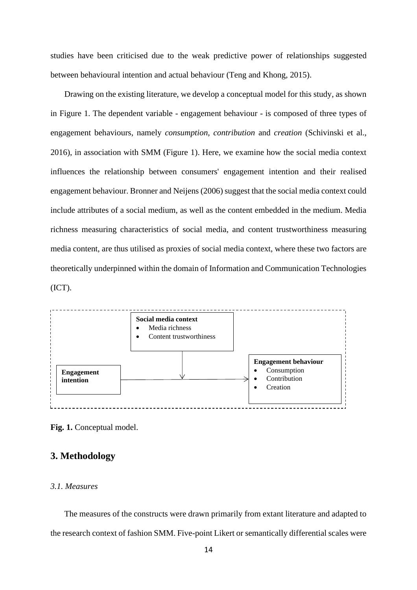studies have been criticised due to the weak predictive power of relationships suggested between behavioural intention and actual behaviour (Teng and Khong, 2015).

Drawing on the existing literature, we develop a conceptual model for this study, as shown in Figure 1. The dependent variable - engagement behaviour - is composed of three types of engagement behaviours, namely *consumption, contribution* and *creation* (Schivinski et al., 2016), in association with SMM (Figure 1). Here, we examine how the social media context influences the relationship between consumers' engagement intention and their realised engagement behaviour. Bronner and Neijens (2006) suggest that the social media context could include attributes of a social medium, as well as the content embedded in the medium. Media richness measuring characteristics of social media, and content trustworthiness measuring media content, are thus utilised as proxies of social media context, where these two factors are theoretically underpinned within the domain of Information and Communication Technologies (ICT).



**Fig. 1.** Conceptual model.

## **3. Methodology**

## *3.1. Measures*

The measures of the constructs were drawn primarily from extant literature and adapted to the research context of fashion SMM. Five-point Likert or semantically differential scales were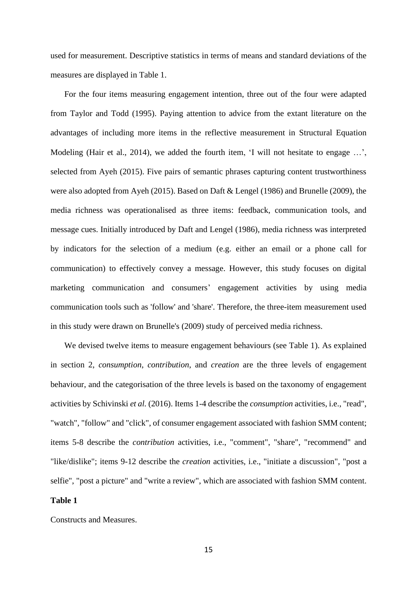used for measurement. Descriptive statistics in terms of means and standard deviations of the measures are displayed in Table 1.

For the four items measuring engagement intention, three out of the four were adapted from Taylor and Todd (1995). Paying attention to advice from the extant literature on the advantages of including more items in the reflective measurement in Structural Equation Modeling (Hair et al., 2014), we added the fourth item, 'I will not hesitate to engage ...', selected from Ayeh (2015). Five pairs of semantic phrases capturing content trustworthiness were also adopted from Ayeh (2015). Based on Daft & Lengel (1986) and Brunelle (2009), the media richness was operationalised as three items: feedback, communication tools, and message cues. Initially introduced by Daft and Lengel (1986), media richness was interpreted by indicators for the selection of a medium (e.g. either an email or a phone call for communication) to effectively convey a message. However, this study focuses on digital marketing communication and consumers' engagement activities by using media communication tools such as 'follow' and 'share'. Therefore, the three-item measurement used in this study were drawn on Brunelle's (2009) study of perceived media richness.

We devised twelve items to measure engagement behaviours (see Table 1). As explained in section 2, *consumption*, *contribution*, and *creation* are the three levels of engagement behaviour, and the categorisation of the three levels is based on the taxonomy of engagement activities by Schivinski *et al.* (2016). Items 1-4 describe the *consumption* activities, i.e., "read", "watch", "follow" and "click", of consumer engagement associated with fashion SMM content; items 5-8 describe the *contribution* activities, i.e., "comment", "share", "recommend" and "like/dislike"; items 9-12 describe the *creation* activities, i.e., "initiate a discussion", "post a selfie", "post a picture" and "write a review", which are associated with fashion SMM content.

#### **Table 1**

Constructs and Measures.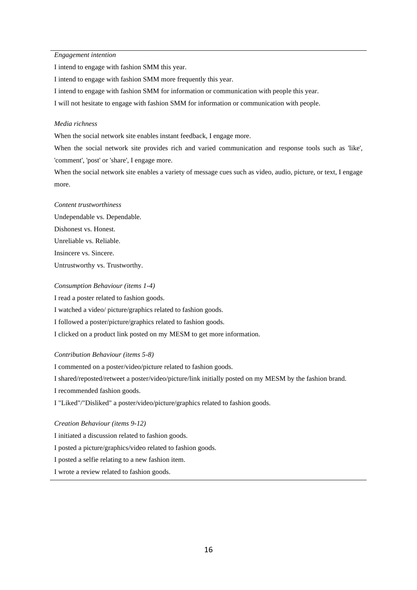#### *Engagement intention*

I intend to engage with fashion SMM this year.

I intend to engage with fashion SMM more frequently this year.

I intend to engage with fashion SMM for information or communication with people this year.

I will not hesitate to engage with fashion SMM for information or communication with people.

#### *Media richness*

When the social network site enables instant feedback, I engage more.

When the social network site provides rich and varied communication and response tools such as 'like', 'comment', 'post' or 'share', I engage more.

When the social network site enables a variety of message cues such as video, audio, picture, or text, I engage more.

#### *Content trustworthiness*

Undependable vs. Dependable. Dishonest vs. Honest. Unreliable vs. Reliable. Insincere vs. Sincere. Untrustworthy vs. Trustworthy.

#### *Consumption Behaviour (items 1-4)*

I read a poster related to fashion goods.

I watched a video/ picture/graphics related to fashion goods.

I followed a poster/picture/graphics related to fashion goods.

I clicked on a product link posted on my MESM to get more information.

#### *Contribution Behaviour (items 5-8)*

I commented on a poster/video/picture related to fashion goods.

I shared/reposted/retweet a poster/video/picture/link initially posted on my MESM by the fashion brand.

I recommended fashion goods.

I "Liked"/"Disliked" a poster/video/picture/graphics related to fashion goods.

#### *Creation Behaviour (items 9-12)*

I initiated a discussion related to fashion goods.

I posted a picture/graphics/video related to fashion goods.

I posted a selfie relating to a new fashion item.

I wrote a review related to fashion goods.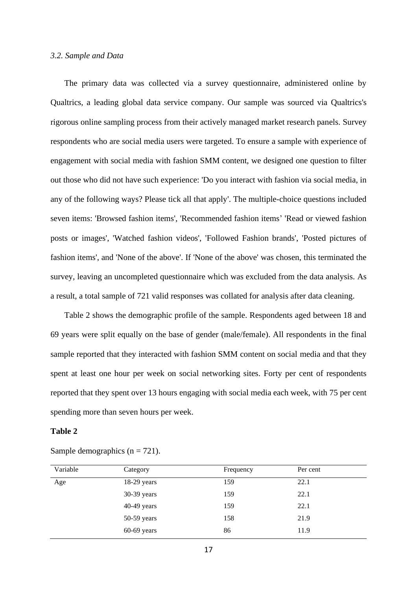#### *3.2. Sample and Data*

The primary data was collected via a survey questionnaire, administered online by Qualtrics, a leading global data service company. Our sample was sourced via Qualtrics's rigorous online sampling process from their actively managed market research panels. Survey respondents who are social media users were targeted. To ensure a sample with experience of engagement with social media with fashion SMM content, we designed one question to filter out those who did not have such experience: 'Do you interact with fashion via social media, in any of the following ways? Please tick all that apply'. The multiple-choice questions included seven items: 'Browsed fashion items', 'Recommended fashion items' 'Read or viewed fashion posts or images', 'Watched fashion videos', 'Followed Fashion brands', 'Posted pictures of fashion items', and 'None of the above'. If 'None of the above' was chosen, this terminated the survey, leaving an uncompleted questionnaire which was excluded from the data analysis. As a result, a total sample of 721 valid responses was collated for analysis after data cleaning.

Table 2 shows the demographic profile of the sample. Respondents aged between 18 and 69 years were split equally on the base of gender (male/female). All respondents in the final sample reported that they interacted with fashion SMM content on social media and that they spent at least one hour per week on social networking sites. Forty per cent of respondents reported that they spent over 13 hours engaging with social media each week, with 75 per cent spending more than seven hours per week.

#### **Table 2**

| Sample demographics ( $n = 721$ ). |  |
|------------------------------------|--|
|                                    |  |

| Variable | Category      | Frequency | Per cent |
|----------|---------------|-----------|----------|
| Age      | $18-29$ years | 159       | 22.1     |
|          | $30-39$ years | 159       | 22.1     |
|          | $40-49$ years | 159       | 22.1     |
|          | $50-59$ years | 158       | 21.9     |
|          | $60-69$ years | 86        | 11.9     |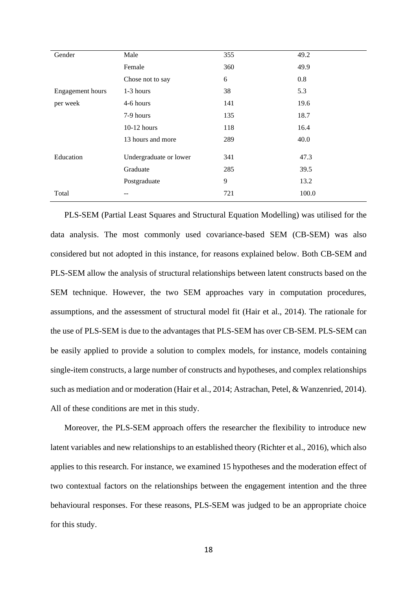| Gender           | Male                   | 355 | 49.2  |
|------------------|------------------------|-----|-------|
|                  | Female                 | 360 | 49.9  |
|                  | Chose not to say       | 6   | 0.8   |
| Engagement hours | 1-3 hours              | 38  | 5.3   |
| per week         | 4-6 hours              | 141 | 19.6  |
|                  | 7-9 hours              | 135 | 18.7  |
|                  | $10-12$ hours          | 118 | 16.4  |
|                  | 13 hours and more      | 289 | 40.0  |
| Education        | Undergraduate or lower | 341 | 47.3  |
|                  | Graduate               | 285 | 39.5  |
|                  | Postgraduate           | 9   | 13.2  |
| Total            |                        | 721 | 100.0 |

PLS-SEM (Partial Least Squares and Structural Equation Modelling) was utilised for the data analysis. The most commonly used covariance-based SEM (CB-SEM) was also considered but not adopted in this instance, for reasons explained below. Both CB-SEM and PLS-SEM allow the analysis of structural relationships between latent constructs based on the SEM technique. However, the two SEM approaches vary in computation procedures, assumptions, and the assessment of structural model fit (Hair et al., 2014). The rationale for the use of PLS-SEM is due to the advantages that PLS-SEM has over CB-SEM. PLS-SEM can be easily applied to provide a solution to complex models, for instance, models containing single-item constructs, a large number of constructs and hypotheses, and complex relationships such as mediation and or moderation (Hair et al., 2014; Astrachan, Petel, & Wanzenried, 2014). All of these conditions are met in this study.

Moreover, the PLS-SEM approach offers the researcher the flexibility to introduce new latent variables and new relationships to an established theory (Richter et al., 2016), which also applies to this research. For instance, we examined 15 hypotheses and the moderation effect of two contextual factors on the relationships between the engagement intention and the three behavioural responses. For these reasons, PLS-SEM was judged to be an appropriate choice for this study.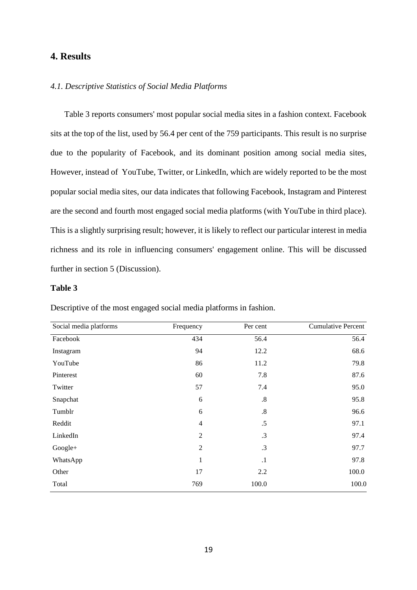## **4. Results**

#### *4.1. Descriptive Statistics of Social Media Platforms*

Table 3 reports consumers' most popular social media sites in a fashion context. Facebook sits at the top of the list, used by 56.4 per cent of the 759 participants. This result is no surprise due to the popularity of Facebook, and its dominant position among social media sites, However, instead of YouTube, Twitter, or LinkedIn, which are widely reported to be the most popular social media sites, our data indicates that following Facebook, Instagram and Pinterest are the second and fourth most engaged social media platforms (with YouTube in third place). This is a slightly surprising result; however, it is likely to reflect our particular interest in media richness and its role in influencing consumers' engagement online. This will be discussed further in section 5 (Discussion).

## **Table 3**

| Social media platforms | Frequency      | Per cent  | <b>Cumulative Percent</b> |
|------------------------|----------------|-----------|---------------------------|
| Facebook               | 434            | 56.4      | 56.4                      |
| Instagram              | 94             | 12.2      | 68.6                      |
| YouTube                | 86             | 11.2      | 79.8                      |
| Pinterest              | 60             | 7.8       | 87.6                      |
| Twitter                | 57             | 7.4       | 95.0                      |
| Snapchat               | 6              | .8        | 95.8                      |
| Tumblr                 | 6              | .8        | 96.6                      |
| Reddit                 | 4              | .5        | 97.1                      |
| LinkedIn               | $\overline{2}$ | $\cdot$ 3 | 97.4                      |
| $Google+$              | $\overline{2}$ | .3        | 97.7                      |
| WhatsApp               | $\mathbf{1}$   | $\cdot$ 1 | 97.8                      |
| Other                  | 17             | 2.2       | 100.0                     |
| Total                  | 769            | 100.0     | 100.0                     |

Descriptive of the most engaged social media platforms in fashion.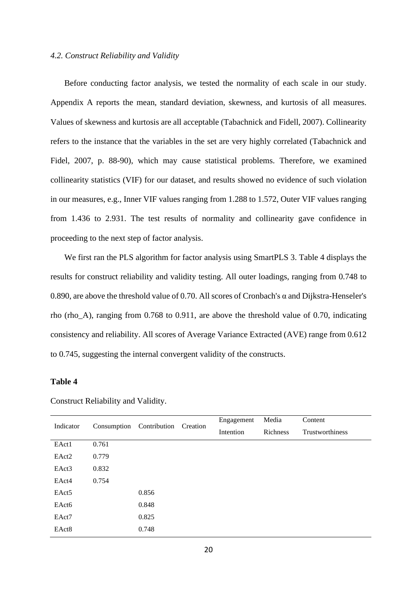#### *4.2. Construct Reliability and Validity*

Before conducting factor analysis, we tested the normality of each scale in our study. Appendix A reports the mean, standard deviation, skewness, and kurtosis of all measures. Values of skewness and kurtosis are all acceptable (Tabachnick and Fidell, 2007). Collinearity refers to the instance that the variables in the set are very highly correlated (Tabachnick and Fidel, 2007, p. 88-90), which may cause statistical problems. Therefore, we examined collinearity statistics (VIF) for our dataset, and results showed no evidence of such violation in our measures, e.g., Inner VIF values ranging from 1.288 to 1.572, Outer VIF values ranging from 1.436 to 2.931. The test results of normality and collinearity gave confidence in proceeding to the next step of factor analysis.

We first ran the PLS algorithm for factor analysis using SmartPLS 3. Table 4 displays the results for construct reliability and validity testing. All outer loadings, ranging from 0.748 to 0.890, are above the threshold value of 0.70. All scores of Cronbach's α and Dijkstra-Henseler's rho (rho\_A), ranging from 0.768 to 0.911, are above the threshold value of 0.70, indicating consistency and reliability. All scores of Average Variance Extracted (AVE) range from 0.612 to 0.745, suggesting the internal convergent validity of the constructs.

#### **Table 4**

| Indicator         | Consumption | Contribution | Creation | Engagement | Media    | Content         |
|-------------------|-------------|--------------|----------|------------|----------|-----------------|
|                   |             |              |          | Intention  | Richness | Trustworthiness |
| EAct1             | 0.761       |              |          |            |          |                 |
| EAct2             | 0.779       |              |          |            |          |                 |
| EAct3             | 0.832       |              |          |            |          |                 |
| EAct4             | 0.754       |              |          |            |          |                 |
| EAct <sub>5</sub> |             | 0.856        |          |            |          |                 |
| EAct6             |             | 0.848        |          |            |          |                 |
| EAct7             |             | 0.825        |          |            |          |                 |
| EAct8             |             | 0.748        |          |            |          |                 |
|                   |             |              |          |            |          |                 |

Construct Reliability and Validity.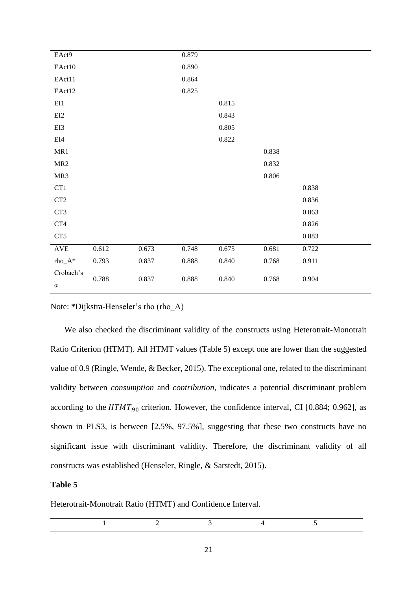| EAct9                |       |       | 0.879 |       |       |       |
|----------------------|-------|-------|-------|-------|-------|-------|
| EAct10               |       |       | 0.890 |       |       |       |
| EAct11               |       |       | 0.864 |       |       |       |
| EAct12               |       |       | 0.825 |       |       |       |
| EI1                  |       |       |       | 0.815 |       |       |
| EI <sub>2</sub>      |       |       |       | 0.843 |       |       |
| EI3                  |       |       |       | 0.805 |       |       |
| $\rm E I4$           |       |       |       | 0.822 |       |       |
| MR1                  |       |       |       |       | 0.838 |       |
| MR <sub>2</sub>      |       |       |       |       | 0.832 |       |
| MR3                  |       |       |       |       | 0.806 |       |
| CT1                  |       |       |       |       |       | 0.838 |
| CT2                  |       |       |       |       |       | 0.836 |
| CT3                  |       |       |       |       |       | 0.863 |
| $\operatorname{CT4}$ |       |       |       |       |       | 0.826 |
| CT5                  |       |       |       |       |       | 0.883 |
| $\operatorname{AVE}$ | 0.612 | 0.673 | 0.748 | 0.675 | 0.681 | 0.722 |
| $rho_A*$             | 0.793 | 0.837 | 0.888 | 0.840 | 0.768 | 0.911 |
| Crobach's            | 0.788 | 0.837 | 0.888 | 0.840 | 0.768 | 0.904 |
| $\alpha$             |       |       |       |       |       |       |

Note: \*Dijkstra-Henseler's rho (rho\_A)

We also checked the discriminant validity of the constructs using Heterotrait-Monotrait Ratio Criterion (HTMT). All HTMT values (Table 5) except one are lower than the suggested value of 0.9 (Ringle, Wende, & Becker, 2015). The exceptional one, related to the discriminant validity between *consumption* and *contribution*, indicates a potential discriminant problem according to the  $HTMT_{.90}$  criterion. However, the confidence interval, CI [0.884; 0.962], as shown in PLS3, is between [2.5%, 97.5%], suggesting that these two constructs have no significant issue with discriminant validity. Therefore, the discriminant validity of all constructs was established (Henseler, Ringle, & Sarstedt, 2015).

## **Table 5**

Heterotrait-Monotrait Ratio (HTMT) and Confidence Interval.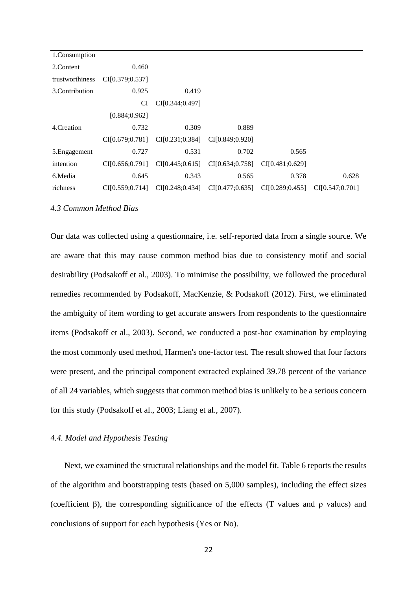| 1.Consumption   |                  |                  |                                                          |                 |                 |
|-----------------|------------------|------------------|----------------------------------------------------------|-----------------|-----------------|
| 2.Content       | 0.460            |                  |                                                          |                 |                 |
| trustworthiness | CI[0.379;0.537]  |                  |                                                          |                 |                 |
| 3. Contribution | 0.925            | 0.419            |                                                          |                 |                 |
|                 | CI               | CI[0.344;0.497]  |                                                          |                 |                 |
|                 | [0.884; 0.962]   |                  |                                                          |                 |                 |
| 4. Creation     | 0.732            | 0.309            | 0.889                                                    |                 |                 |
|                 | CI[0.679; 0.781] | CI[0.231; 0.384] | CI[0.849;0.920]                                          |                 |                 |
| 5. Engagement   | 0.727            | 0.531            | 0.702                                                    | 0.565           |                 |
| intention       | CI[0.656; 0.791] |                  | $CI[0.445; 0.615]$ $CI[0.634; 0.758]$                    | CI[0.481;0.629] |                 |
| 6.Media         | 0.645            | 0.343            | 0.565                                                    | 0.378           | 0.628           |
| richness        | CI[0.559; 0.714] |                  | $CI[0.248; 0.434]$ $CI[0.477; 0.635]$ $CI[0.289; 0.455]$ |                 | CI[0.547;0.701] |

#### *4.3 Common Method Bias*

Our data was collected using a questionnaire, i.e. self-reported data from a single source. We are aware that this may cause common method bias due to consistency motif and social desirability (Podsakoff et al., 2003). To minimise the possibility, we followed the procedural remedies recommended by Podsakoff, MacKenzie, & Podsakoff (2012). First, we eliminated the ambiguity of item wording to get accurate answers from respondents to the questionnaire items (Podsakoff et al., 2003). Second, we conducted a post-hoc examination by employing the most commonly used method, Harmen's one-factor test. The result showed that four factors were present, and the principal component extracted explained 39.78 percent of the variance of all 24 variables, which suggests that common method bias is unlikely to be a serious concern for this study (Podsakoff et al., 2003; Liang et al., 2007).

#### *4.4. Model and Hypothesis Testing*

Next, we examined the structural relationships and the model fit. Table 6 reports the results of the algorithm and bootstrapping tests (based on 5,000 samples), including the effect sizes (coefficient β), the corresponding significance of the effects (T values and ρ values) and conclusions of support for each hypothesis (Yes or No).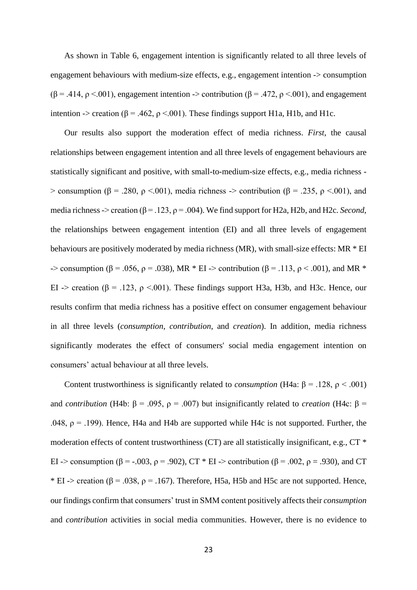As shown in Table 6, engagement intention is significantly related to all three levels of engagement behaviours with medium-size effects, e.g., engagement intention -> consumption ( $\beta$  = .414,  $\rho$  <.001), engagement intention -> contribution ( $\beta$  = .472,  $\rho$  <.001), and engagement intention -> creation (β = .462,  $ρ$  <.001). These findings support H1a, H1b, and H1c.

Our results also support the moderation effect of media richness. *First*, the causal relationships between engagement intention and all three levels of engagement behaviours are statistically significant and positive, with small-to-medium-size effects, e.g., media richness -  $>$  consumption (β = .280, ρ <.001), media richness - $>$  contribution (β = .235, ρ <.001), and media richness  $\rightarrow$  creation ( $\beta = .123$ ,  $\rho = .004$ ). We find support for H2a, H2b, and H2c. *Second*, the relationships between engagement intention (EI) and all three levels of engagement behaviours are positively moderated by media richness (MR), with small-size effects: MR \* EI -> consumption (β = .056, ρ = .038), MR  $*$  EI -> contribution (β = .113, ρ < .001), and MR  $*$ EI -> creation ( $\beta$  = .123,  $\rho$  <.001). These findings support H3a, H3b, and H3c. Hence, our results confirm that media richness has a positive effect on consumer engagement behaviour in all three levels (*consumption*, *contribution*, and *creation*). In addition, media richness significantly moderates the effect of consumers' social media engagement intention on consumers' actual behaviour at all three levels.

Content trustworthiness is significantly related to *consumption* (H4a: β = .128, ρ < .001) and *contribution* (H4b: β = .095, ρ = .007) but insignificantly related to *creation* (H4c: β = .048,  $\rho = .199$ ). Hence, H4a and H4b are supported while H4c is not supported. Further, the moderation effects of content trustworthiness (CT) are all statistically insignificant, e.g., CT \* EI -> consumption ( $\beta$  = -.003,  $\rho$  = .902), CT \* EI -> contribution ( $\beta$  = .002,  $\rho$  = .930), and CT  $*$  EI -> creation ( $\beta$  = .038,  $\rho$  = .167). Therefore, H5a, H5b and H5c are not supported. Hence, our findings confirm that consumers' trust in SMM content positively affects their *consumption* and *contribution* activities in social media communities. However, there is no evidence to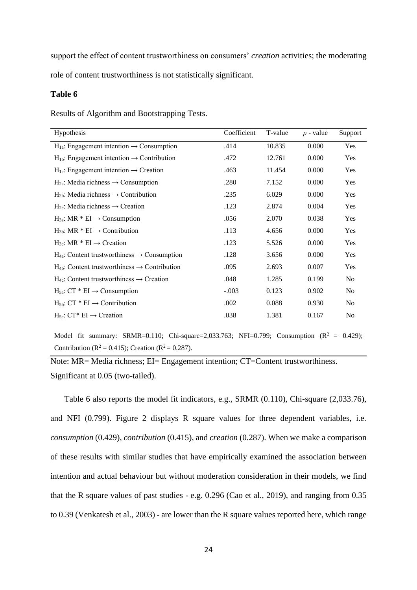support the effect of content trustworthiness on consumers' *creation* activities; the moderating role of content trustworthiness is not statistically significant.

#### **Table 6**

Results of Algorithm and Bootstrapping Tests.

| Hypothesis                                                    | Coefficient | T-value | $\rho$ - value | Support        |
|---------------------------------------------------------------|-------------|---------|----------------|----------------|
| $H_{1a}$ : Engagement intention $\rightarrow$ Consumption     | .414        | 10.835  | 0.000          | Yes            |
| $H_{1b}$ : Engagement intention $\rightarrow$ Contribution    | .472        | 12.761  | 0.000          | Yes            |
| $H_{1c}$ : Engagement intention $\rightarrow$ Creation        | .463        | 11.454  | 0.000          | Yes            |
| $H_{2a}$ : Media richness $\rightarrow$ Consumption           | .280        | 7.152   | 0.000          | Yes            |
| $H_{2b}$ : Media richness $\rightarrow$ Contribution          | .235        | 6.029   | 0.000          | Yes            |
| $H_{2c}$ : Media richness $\rightarrow$ Creation              | .123        | 2.874   | 0.004          | Yes            |
| $H_{3a}: MR * EI \rightarrow$ Consumption                     | .056        | 2.070   | 0.038          | Yes            |
| $H_{3b}$ : MR * EI $\rightarrow$ Contribution                 | .113        | 4.656   | 0.000          | Yes            |
| $H_{3c}$ : MR * EI $\rightarrow$ Creation                     | .123        | 5.526   | 0.000          | Yes            |
| $H_{4a}$ : Content trustworthiness $\rightarrow$ Consumption  | .128        | 3.656   | 0.000          | Yes            |
| $H_{4b}$ : Content trustworthiness $\rightarrow$ Contribution | .095        | 2.693   | 0.007          | Yes            |
| $H_{4c}$ : Content trustworthiness $\rightarrow$ Creation     | .048        | 1.285   | 0.199          | No             |
| $H_{5a}:$ CT $*$ EI $\rightarrow$ Consumption                 | $-.003$     | 0.123   | 0.902          | No             |
| $H_{5b}$ : CT * EI $\rightarrow$ Contribution                 | .002        | 0.088   | 0.930          | N <sub>0</sub> |
| $H_{5c}$ : CT <sup>*</sup> EI $\rightarrow$ Creation          | .038        | 1.381   | 0.167          | N <sub>0</sub> |

Model fit summary: SRMR=0.110; Chi-square=2,033.763; NFI=0.799; Consumption  $(R^2 = 0.429)$ ; Contribution ( $R^2 = 0.415$ ); Creation ( $R^2 = 0.287$ ).

Note: MR= Media richness; EI= Engagement intention; CT=Content trustworthiness. Significant at 0.05 (two-tailed).

Table 6 also reports the model fit indicators, e.g., SRMR (0.110), Chi-square (2,033.76), and NFI (0.799). Figure 2 displays R square values for three dependent variables, i.e. *consumption* (0.429), *contribution* (0.415), and *creation* (0.287). When we make a comparison of these results with similar studies that have empirically examined the association between intention and actual behaviour but without moderation consideration in their models, we find that the R square values of past studies - e.g. 0.296 (Cao et al., 2019), and ranging from 0.35 to 0.39 (Venkatesh et al., 2003) - are lower than the R square values reported here, which range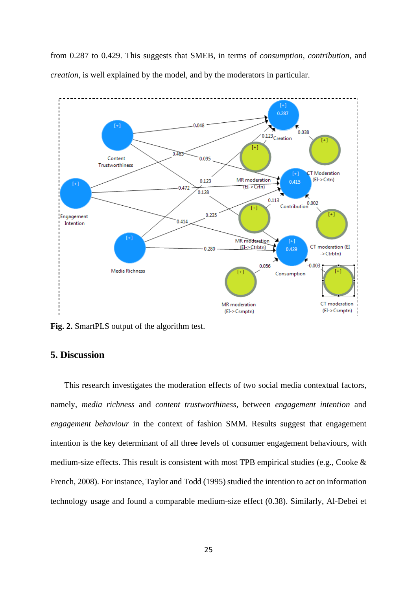from 0.287 to 0.429. This suggests that SMEB, in terms of *consumption*, *contribution*, and *creation*, is well explained by the model, and by the moderators in particular.



**Fig. 2.** SmartPLS output of the algorithm test.

## **5. Discussion**

This research investigates the moderation effects of two social media contextual factors, namely, *media richness* and *content trustworthiness*, between *engagement intention* and *engagement behaviour* in the context of fashion SMM. Results suggest that engagement intention is the key determinant of all three levels of consumer engagement behaviours, with medium-size effects. This result is consistent with most TPB empirical studies (e.g., Cooke & French, 2008). For instance, Taylor and Todd (1995) studied the intention to act on information technology usage and found a comparable medium-size effect (0.38). Similarly, Al-Debei et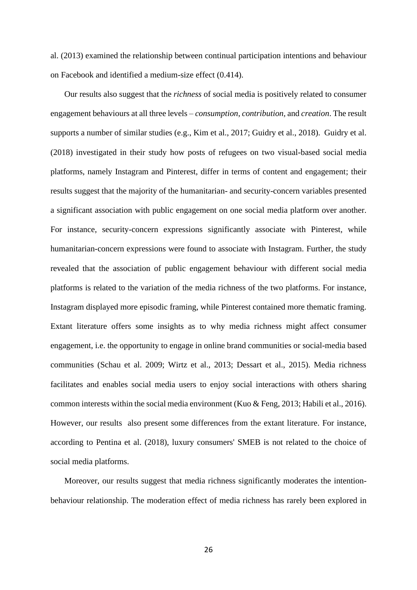al. (2013) examined the relationship between continual participation intentions and behaviour on Facebook and identified a medium-size effect (0.414).

Our results also suggest that the *richness* of social media is positively related to consumer engagement behaviours at all three levels – *consumption*, *contribution,* and *creation*. The result supports a number of similar studies (e.g., Kim et al., 2017; Guidry et al., 2018). Guidry et al. (2018) investigated in their study how posts of refugees on two visual-based social media platforms, namely Instagram and Pinterest, differ in terms of content and engagement; their results suggest that the majority of the humanitarian- and security-concern variables presented a significant association with public engagement on one social media platform over another. For instance, security-concern expressions significantly associate with Pinterest, while humanitarian-concern expressions were found to associate with Instagram. Further, the study revealed that the association of public engagement behaviour with different social media platforms is related to the variation of the media richness of the two platforms. For instance, Instagram displayed more episodic framing, while Pinterest contained more thematic framing. Extant literature offers some insights as to why media richness might affect consumer engagement, i.e. the opportunity to engage in online brand communities or social-media based communities (Schau et al. 2009; Wirtz et al., 2013; Dessart et al., 2015). Media richness facilitates and enables social media users to enjoy social interactions with others sharing common interests within the social media environment (Kuo & Feng, 2013; Habili et al., 2016). However, our results also present some differences from the extant literature. For instance, according to Pentina et al. (2018), luxury consumers' SMEB is not related to the choice of social media platforms.

Moreover, our results suggest that media richness significantly moderates the intentionbehaviour relationship. The moderation effect of media richness has rarely been explored in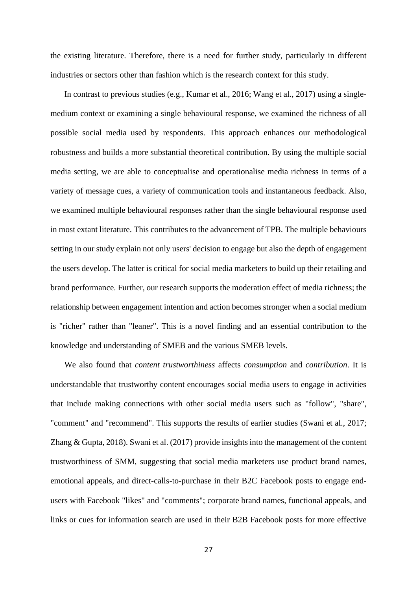the existing literature. Therefore, there is a need for further study, particularly in different industries or sectors other than fashion which is the research context for this study.

In contrast to previous studies (e.g., Kumar et al., 2016; Wang et al., 2017) using a singlemedium context or examining a single behavioural response, we examined the richness of all possible social media used by respondents. This approach enhances our methodological robustness and builds a more substantial theoretical contribution. By using the multiple social media setting, we are able to conceptualise and operationalise media richness in terms of a variety of message cues, a variety of communication tools and instantaneous feedback. Also, we examined multiple behavioural responses rather than the single behavioural response used in most extant literature. This contributes to the advancement of TPB. The multiple behaviours setting in our study explain not only users' decision to engage but also the depth of engagement the users develop. The latter is critical for social media marketers to build up their retailing and brand performance. Further, our research supports the moderation effect of media richness; the relationship between engagement intention and action becomes stronger when a social medium is "richer" rather than "leaner". This is a novel finding and an essential contribution to the knowledge and understanding of SMEB and the various SMEB levels.

We also found that *content trustworthiness* affects *consumption* and *contribution*. It is understandable that trustworthy content encourages social media users to engage in activities that include making connections with other social media users such as "follow", "share", "comment" and "recommend". This supports the results of earlier studies (Swani et al., 2017; Zhang & Gupta, 2018). Swani et al. (2017) provide insights into the management of the content trustworthiness of SMM, suggesting that social media marketers use product brand names, emotional appeals, and direct-calls-to-purchase in their B2C Facebook posts to engage endusers with Facebook "likes" and "comments"; corporate brand names, functional appeals, and links or cues for information search are used in their B2B Facebook posts for more effective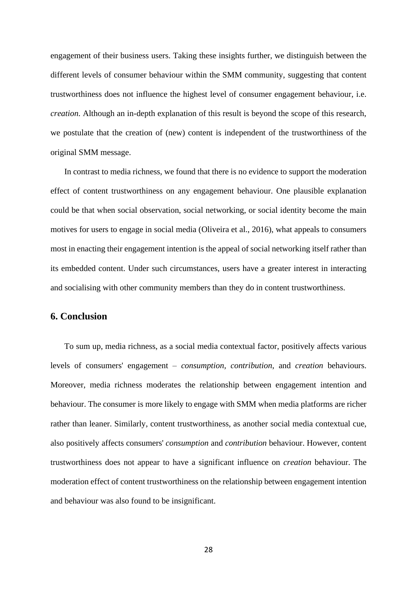engagement of their business users. Taking these insights further, we distinguish between the different levels of consumer behaviour within the SMM community, suggesting that content trustworthiness does not influence the highest level of consumer engagement behaviour, i.e. *creation*. Although an in-depth explanation of this result is beyond the scope of this research, we postulate that the creation of (new) content is independent of the trustworthiness of the original SMM message.

In contrast to media richness, we found that there is no evidence to support the moderation effect of content trustworthiness on any engagement behaviour. One plausible explanation could be that when social observation, social networking, or social identity become the main motives for users to engage in social media (Oliveira et al., 2016), what appeals to consumers most in enacting their engagement intention is the appeal of social networking itself rather than its embedded content. Under such circumstances, users have a greater interest in interacting and socialising with other community members than they do in content trustworthiness.

## **6. Conclusion**

To sum up, media richness, as a social media contextual factor, positively affects various levels of consumers' engagement – *consumption, contribution*, and *creation* behaviours. Moreover, media richness moderates the relationship between engagement intention and behaviour. The consumer is more likely to engage with SMM when media platforms are richer rather than leaner. Similarly, content trustworthiness, as another social media contextual cue, also positively affects consumers' *consumption* and *contribution* behaviour. However, content trustworthiness does not appear to have a significant influence on *creation* behaviour. The moderation effect of content trustworthiness on the relationship between engagement intention and behaviour was also found to be insignificant.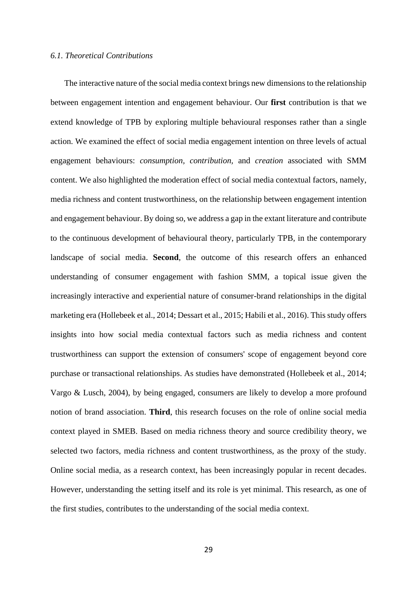#### *6.1. Theoretical Contributions*

The interactive nature of the social media context brings new dimensions to the relationship between engagement intention and engagement behaviour. Our **first** contribution is that we extend knowledge of TPB by exploring multiple behavioural responses rather than a single action. We examined the effect of social media engagement intention on three levels of actual engagement behaviours: *consumption, contribution,* and *creation* associated with SMM content. We also highlighted the moderation effect of social media contextual factors, namely, media richness and content trustworthiness, on the relationship between engagement intention and engagement behaviour. By doing so, we address a gap in the extant literature and contribute to the continuous development of behavioural theory, particularly TPB, in the contemporary landscape of social media. **Second**, the outcome of this research offers an enhanced understanding of consumer engagement with fashion SMM, a topical issue given the increasingly interactive and experiential nature of consumer-brand relationships in the digital marketing era (Hollebeek et al., 2014; Dessart et al., 2015; Habili et al., 2016). This study offers insights into how social media contextual factors such as media richness and content trustworthiness can support the extension of consumers' scope of engagement beyond core purchase or transactional relationships. As studies have demonstrated (Hollebeek et al., 2014; Vargo & Lusch, 2004), by being engaged, consumers are likely to develop a more profound notion of brand association. **Third**, this research focuses on the role of online social media context played in SMEB. Based on media richness theory and source credibility theory, we selected two factors, media richness and content trustworthiness, as the proxy of the study. Online social media, as a research context, has been increasingly popular in recent decades. However, understanding the setting itself and its role is yet minimal. This research, as one of the first studies, contributes to the understanding of the social media context.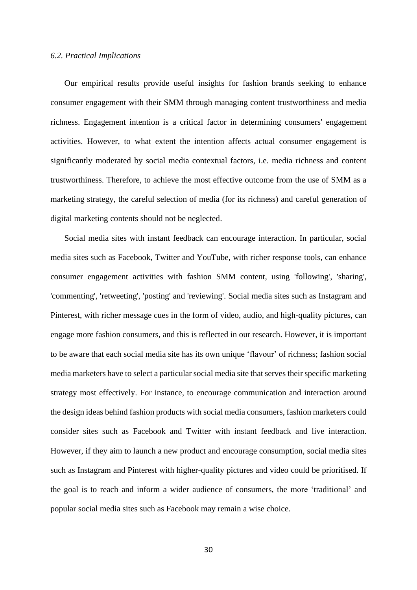#### *6.2. Practical Implications*

Our empirical results provide useful insights for fashion brands seeking to enhance consumer engagement with their SMM through managing content trustworthiness and media richness. Engagement intention is a critical factor in determining consumers' engagement activities. However, to what extent the intention affects actual consumer engagement is significantly moderated by social media contextual factors, i.e. media richness and content trustworthiness. Therefore, to achieve the most effective outcome from the use of SMM as a marketing strategy, the careful selection of media (for its richness) and careful generation of digital marketing contents should not be neglected.

Social media sites with instant feedback can encourage interaction. In particular, social media sites such as Facebook, Twitter and YouTube, with richer response tools, can enhance consumer engagement activities with fashion SMM content, using 'following', 'sharing', 'commenting', 'retweeting', 'posting' and 'reviewing'. Social media sites such as Instagram and Pinterest, with richer message cues in the form of video, audio, and high-quality pictures, can engage more fashion consumers, and this is reflected in our research. However, it is important to be aware that each social media site has its own unique 'flavour' of richness; fashion social media marketers have to select a particular social media site that serves their specific marketing strategy most effectively. For instance, to encourage communication and interaction around the design ideas behind fashion products with social media consumers, fashion marketers could consider sites such as Facebook and Twitter with instant feedback and live interaction. However, if they aim to launch a new product and encourage consumption, social media sites such as Instagram and Pinterest with higher-quality pictures and video could be prioritised. If the goal is to reach and inform a wider audience of consumers, the more 'traditional' and popular social media sites such as Facebook may remain a wise choice.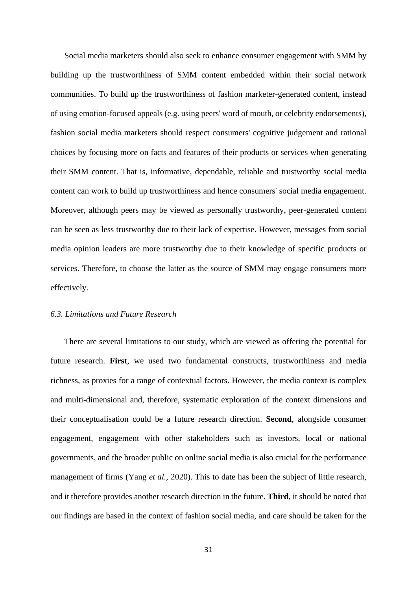Social media marketers should also seek to enhance consumer engagement with SMM by building up the trustworthiness of SMM content embedded within their social network communities. To build up the trustworthiness of fashion marketer-generated content, instead of using emotion-focused appeals (e.g. using peers' word of mouth, or celebrity endorsements), fashion social media marketers should respect consumers' cognitive judgement and rational choices by focusing more on facts and features of their products or services when generating their SMM content. That is, informative, dependable, reliable and trustworthy social media content can work to build up trustworthiness and hence consumers' social media engagement. Moreover, although peers may be viewed as personally trustworthy, peer-generated content can be seen as less trustworthy due to their lack of expertise. However, messages from social media opinion leaders are more trustworthy due to their knowledge of specific products or services. Therefore, to choose the latter as the source of SMM may engage consumers more effectively.

## *6.3. Limitations and Future Research*

There are several limitations to our study, which are viewed as offering the potential for future research. **First**, we used two fundamental constructs, trustworthiness and media richness, as proxies for a range of contextual factors. However, the media context is complex and multi-dimensional and, therefore, systematic exploration of the context dimensions and their conceptualisation could be a future research direction. **Second**, alongside consumer engagement, engagement with other stakeholders such as investors, local or national governments, and the broader public on online social media is also crucial for the performance management of firms (Yang *et al.,* 2020). This to date has been the subject of little research, and it therefore provides another research direction in the future. **Third**, it should be noted that our findings are based in the context of fashion social media, and care should be taken for the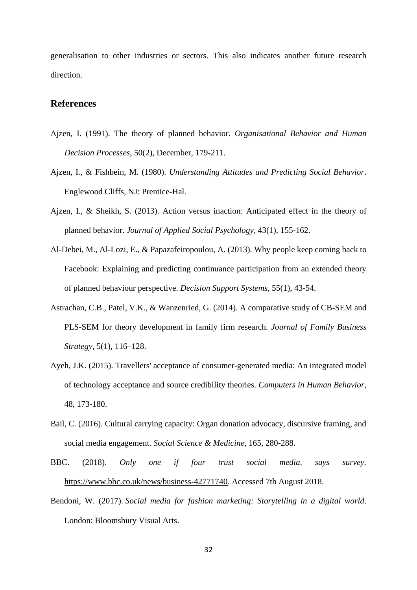generalisation to other industries or sectors. This also indicates another future research direction.

## **References**

- Ajzen, I. (1991). The theory of planned behavior. *Organisational Behavior and Human Decision Processes*, 50(2), December, 179-211.
- Ajzen, I., & Fishbein, M. (1980). *Understanding Attitudes and Predicting Social Behavior*. Englewood Cliffs, NJ: Prentice-Hal.
- Ajzen, I., & Sheikh, S. (2013). Action versus inaction: Anticipated effect in the theory of planned behavior. *Journal of Applied Social Psychology*, 43(1), 155-162.
- Al-Debei, M., Al-Lozi, E., & Papazafeiropoulou, A. (2013). Why people keep coming back to Facebook: Explaining and predicting continuance participation from an extended theory of planned behaviour perspective. *Decision Support Systems*, 55(1), 43-54.
- Astrachan, C.B., Patel, V.K., & Wanzenried, G. (2014). A comparative study of CB-SEM and PLS-SEM for theory development in family firm research. *Journal of Family Business Strategy*, 5(1), 116–128.
- Ayeh, J.K. (2015). Travellers' acceptance of consumer-generated media: An integrated model of technology acceptance and source credibility theories. *Computers in Human Behavior*, 48, 173-180.
- Bail, C. (2016). Cultural carrying capacity: Organ donation advocacy, discursive framing, and social media engagement. *Social Science & Medicine*, 165, 280-288.
- BBC. (2018). *Only one if four trust social media, says survey.* [https://www.bbc.co.uk/news/business-42771740.](https://www.bbc.co.uk/news/business-42771740) Accessed 7th August 2018.
- Bendoni, W. (2017). *Social media for fashion marketing: Storytelling in a digital world*. London: Bloomsbury Visual Arts.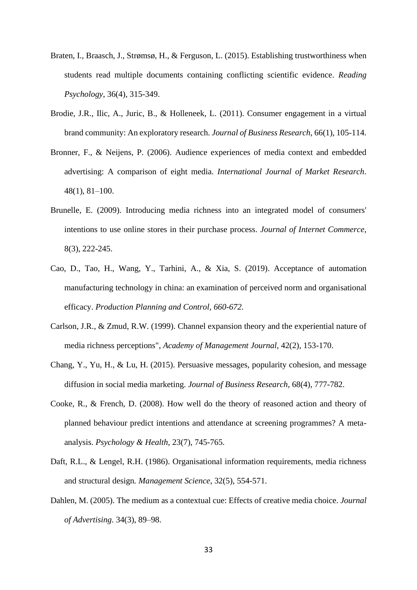- Braten, I., Braasch, J., Strømsø, H., & Ferguson, L. (2015). Establishing trustworthiness when students read multiple documents containing conflicting scientific evidence. *Reading Psychology*, 36(4), 315-349.
- Brodie, J.R., Ilic, A., Juric, B., & Holleneek, L. (2011). Consumer engagement in a virtual brand community: An exploratory research. *Journal of Business Research*, 66(1), 105-114.
- Bronner, F., & Neijens, P. (2006). Audience experiences of media context and embedded advertising: A comparison of eight media. *International Journal of Market Research*. 48(1), 81–100.
- Brunelle, E. (2009). Introducing media richness into an integrated model of consumers' intentions to use online stores in their purchase process. *Journal of Internet Commerce*, 8(3), 222-245.
- Cao, D., Tao, H., Wang, Y., Tarhini, A., & Xia, S. (2019). Acceptance of automation manufacturing technology in china: an examination of perceived norm and organisational efficacy. *Production Planning and Control, 660-672.*
- Carlson, J.R., & Zmud, R.W. (1999). Channel expansion theory and the experiential nature of media richness perceptions", *Academy of Management Journal*, 42(2), 153-170.
- Chang, Y., Yu, H., & Lu, H. (2015). Persuasive messages, popularity cohesion, and message diffusion in social media marketing. *Journal of Business Research*, 68(4), 777-782.
- Cooke, R., & French, D. (2008). How well do the theory of reasoned action and theory of planned behaviour predict intentions and attendance at screening programmes? A metaanalysis. *Psychology & Health*, 23(7), 745-765.
- Daft, R.L., & Lengel, R.H. (1986). Organisational information requirements, media richness and structural design*. Management Science*, 32(5), 554-571.
- Dahlen, M. (2005). The medium as a contextual cue: Effects of creative media choice. *Journal of Advertising*. 34(3), 89–98.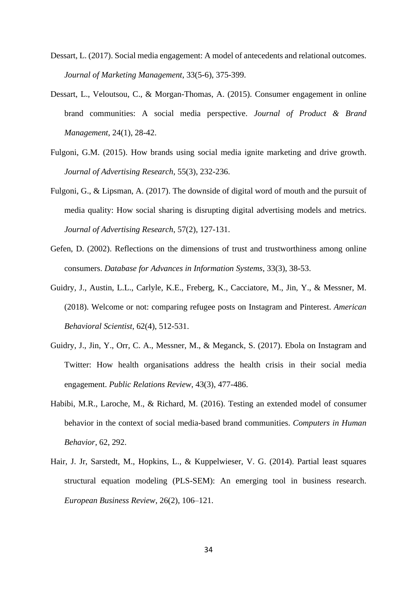- Dessart, L. (2017). Social media engagement: A model of antecedents and relational outcomes. *Journal of Marketing Management*, 33(5-6), 375-399.
- Dessart, L., Veloutsou, C., & Morgan-Thomas, A. (2015). Consumer engagement in online brand communities: A social media perspective. *Journal of Product & Brand Management*, 24(1), 28-42.
- Fulgoni, G.M. (2015). How brands using social media ignite marketing and drive growth. *Journal of Advertising Research*, 55(3), 232-236.
- Fulgoni, G., & Lipsman, A. (2017). The downside of digital word of mouth and the pursuit of media quality: How social sharing is disrupting digital advertising models and metrics. *Journal of Advertising Research*, 57(2), 127-131.
- Gefen, D. (2002). Reflections on the dimensions of trust and trustworthiness among online consumers. *Database for Advances in Information Systems*, 33(3), 38-53.
- Guidry, J., Austin, L.L., Carlyle, K.E., Freberg, K., Cacciatore, M., Jin, Y., & Messner, M. (2018). Welcome or not: comparing refugee posts on Instagram and Pinterest. *American Behavioral Scientist*, 62(4), 512-531.
- Guidry, J., Jin, Y., Orr, C. A., Messner, M., & Meganck, S. (2017). Ebola on Instagram and Twitter: How health organisations address the health crisis in their social media engagement. *Public Relations Review*, 43(3), 477-486.
- Habibi, M.R., Laroche, M., & Richard, M. (2016). Testing an extended model of consumer behavior in the context of social media-based brand communities. *Computers in Human Behavior*, 62, 292.
- Hair, J. Jr, Sarstedt, M., Hopkins, L., & Kuppelwieser, V. G. (2014). Partial least squares structural equation modeling (PLS-SEM): An emerging tool in business research. *European Business Review*, 26(2), 106–121.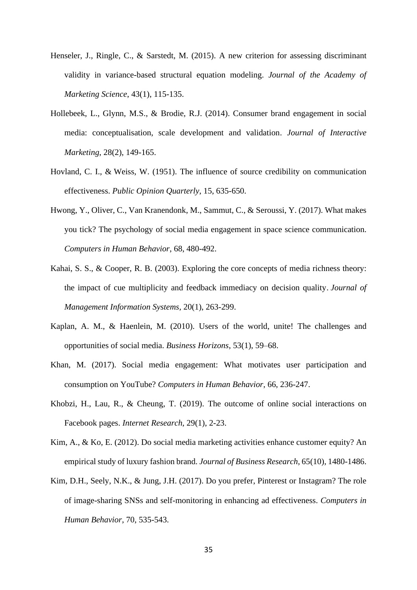- Henseler, J., Ringle, C., & Sarstedt, M. (2015). A new criterion for assessing discriminant validity in variance-based structural equation modeling. *Journal of the Academy of Marketing Science*, 43(1), 115-135.
- Hollebeek, L., Glynn, M.S., & Brodie, R.J. (2014). Consumer brand engagement in social media: conceptualisation, scale development and validation. *Journal of Interactive Marketing*, 28(2), 149-165.
- Hovland, C. I., & Weiss, W. (1951). The influence of source credibility on communication effectiveness. *Public Opinion Quarterly*, 15, 635-650.
- Hwong, Y., Oliver, C., Van Kranendonk, M., Sammut, C., & Seroussi, Y. (2017). What makes you tick? The psychology of social media engagement in space science communication. *Computers in Human Behavior*, 68, 480-492.
- Kahai, S. S., & Cooper, R. B. (2003). Exploring the core concepts of media richness theory: the impact of cue multiplicity and feedback immediacy on decision quality. *Journal of Management Information Systems,* 20(1), 263-299.
- Kaplan, A. M., & Haenlein, M. (2010). Users of the world, unite! The challenges and opportunities of social media. *Business Horizons*, 53(1), 59–68.
- Khan, M. (2017). Social media engagement: What motivates user participation and consumption on YouTube? *Computers in Human Behavior*, 66, 236-247.
- Khobzi, H., Lau, R., & Cheung, T. (2019). The outcome of online social interactions on Facebook pages. *Internet Research*, 29(1), 2-23.
- Kim, A., & Ko, E. (2012). Do social media marketing activities enhance customer equity? An empirical study of luxury fashion brand. *Journal of Business Research*, 65(10), 1480-1486.
- Kim, D.H., Seely, N.K., & Jung, J.H. (2017). Do you prefer, Pinterest or Instagram? The role of image-sharing SNSs and self-monitoring in enhancing ad effectiveness. *Computers in Human Behavior*, 70, 535-543.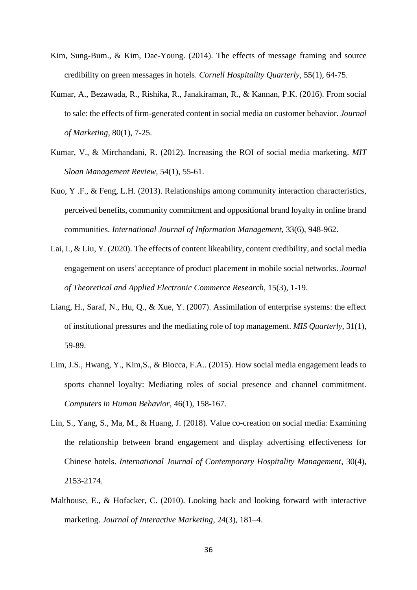- Kim, Sung-Bum., & Kim, Dae-Young. (2014). The effects of message framing and source credibility on green messages in hotels. *Cornell Hospitality Quarterly*, 55(1), 64-75.
- Kumar, A., Bezawada, R., Rishika, R., Janakiraman, R., & Kannan, P.K. (2016). From social to sale: the effects of firm-generated content in social media on customer behavior. *Journal of Marketing*, 80(1), 7-25.
- Kumar, V., & Mirchandani, R. (2012). Increasing the ROI of social media marketing. *MIT Sloan Management Review*, 54(1), 55-61.
- Kuo, Y .F., & Feng, L.H. (2013). Relationships among community interaction characteristics, perceived benefits, community commitment and oppositional brand loyalty in online brand communities. *International Journal of Information Management*, 33(6), 948-962.
- Lai, I., & Liu, Y. (2020). The effects of content likeability, content credibility, and social media engagement on users' acceptance of product placement in mobile social networks. *Journal of Theoretical and Applied Electronic Commerce Research*, 15(3), 1-19.
- Liang, H., Saraf, N., Hu, Q., & Xue, Y. (2007). Assimilation of enterprise systems: the effect of institutional pressures and the mediating role of top management. *MIS Quarterly*, 31(1), 59-89.
- Lim, J.S., Hwang, Y., Kim,S., & Biocca, F.A.. (2015). How social media engagement leads to sports channel loyalty: Mediating roles of social presence and channel commitment. *Computers in Human Behavior*, 46(1), 158-167.
- Lin, S., Yang, S., Ma, M., & Huang, J. (2018). Value co-creation on social media: Examining the relationship between brand engagement and display advertising effectiveness for Chinese hotels. *International Journal of Contemporary Hospitality Management*, 30(4), 2153-2174.
- Malthouse, E., & Hofacker, C. (2010). Looking back and looking forward with interactive marketing. *Journal of Interactive Marketing*, 24(3), 181–4.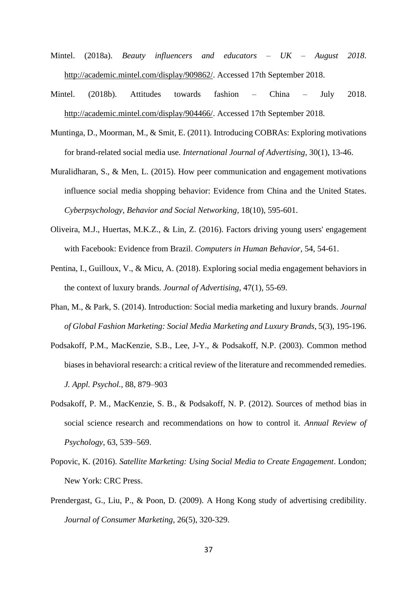- Mintel. (2018a). *Beauty influencers and educators – UK – August 2018*. [http://academic.mintel.com/display/909862/.](http://academic.mintel.com/display/909862/) Accessed 17th September 2018.
- Mintel. (2018b). Attitudes towards fashion China July 2018. [http://academic.mintel.com/display/904466/.](http://academic.mintel.com/display/904466/) Accessed 17th September 2018.
- Muntinga, D., Moorman, M., & Smit, E. (2011). Introducing COBRAs: Exploring motivations for brand-related social media use. *International Journal of Advertising*, 30(1), 13-46.
- Muralidharan, S., & Men, L. (2015). How peer communication and engagement motivations influence social media shopping behavior: Evidence from China and the United States. *Cyberpsychology, Behavior and Social Networking*, 18(10), 595-601.
- Oliveira, M.J., Huertas, M.K.Z., & Lin, Z. (2016). Factors driving young users' engagement with Facebook: Evidence from Brazil. *Computers in Human Behavior*, 54, 54-61.
- Pentina, I., Guilloux, V., & Micu, A. (2018). Exploring social media engagement behaviors in the context of luxury brands. *Journal of Advertising*, 47(1), 55-69.
- Phan, M., & Park, S. (2014). Introduction: Social media marketing and luxury brands. *Journal of Global Fashion Marketing: Social Media Marketing and Luxury Brands*, 5(3), 195-196.
- Podsakoff, P.M., MacKenzie, S.B., Lee, J-Y., & Podsakoff, N.P. (2003). Common method biases in behavioral research: a critical review of the literature and recommended remedies. *J. Appl. Psychol.*, 88, 879–903
- Podsakoff, P. M., MacKenzie, S. B., & Podsakoff, N. P. (2012). Sources of method bias in social science research and recommendations on how to control it. *Annual Review of Psychology*, 63, 539–569.
- Popovic, K. (2016). *Satellite Marketing: Using Social Media to Create Engagement*. London; New York: CRC Press.
- Prendergast, G., Liu, P., & Poon, D. (2009). A Hong Kong study of advertising credibility. *Journal of Consumer Marketing*, 26(5), 320-329.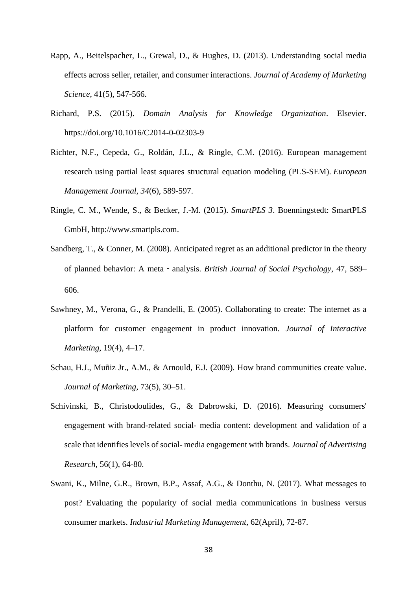- Rapp, A., Beitelspacher, L., Grewal, D., & Hughes, D. (2013). Understanding social media effects across seller, retailer, and consumer interactions. *Journal of Academy of Marketing Science*, 41(5), 547-566.
- Richard, P.S. (2015). *Domain Analysis for Knowledge Organization*. Elsevier. https://doi.org/10.1016/C2014-0-02303-9
- Richter, N.F., Cepeda, G., Roldán, J.L., & Ringle, C.M. (2016). European management research using partial least squares structural equation modeling (PLS-SEM). *European Management Journal, 34*(6), 589-597.
- Ringle, C. M., Wende, S., & Becker, J.-M. (2015). *SmartPLS 3*. Boenningstedt: SmartPLS GmbH, http://www.smartpls.com.
- Sandberg, T., & Conner, M. (2008). Anticipated regret as an additional predictor in the theory of planned behavior: A meta‐analysis. *British Journal of Social Psychology*, 47, 589– 606.
- Sawhney, M., Verona, G., & Prandelli, E. (2005). Collaborating to create: The internet as a platform for customer engagement in product innovation. *Journal of Interactive Marketing*, 19(4), 4–17.
- Schau, H.J., Muñiz Jr., A.M., & Arnould, E.J. (2009). How brand communities create value. *Journal of Marketing,* 73(5), 30–51.
- Schivinski, B., Christodoulides, G., & Dabrowski, D. (2016). Measuring consumers' engagement with brand-related social- media content: development and validation of a scale that identifies levels of social- media engagement with brands. *Journal of Advertising Research*, 56(1), 64-80.
- Swani, K., Milne, G.R., Brown, B.P., Assaf, A.G., & Donthu, N. (2017). What messages to post? Evaluating the popularity of social media communications in business versus consumer markets. *Industrial Marketing Management*, 62(April), 72-87.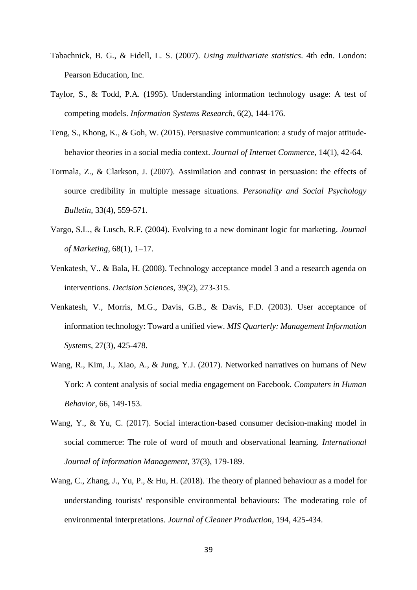- Tabachnick, B. G., & Fidell, L. S. (2007). *Using multivariate statistics*. 4th edn. London: Pearson Education, Inc.
- Taylor, S., & Todd, P.A. (1995). Understanding information technology usage: A test of competing models. *Information Systems Research*, 6(2), 144-176.
- Teng, S., Khong, K., & Goh, W. (2015). Persuasive communication: a study of major attitudebehavior theories in a social media context. *Journal of Internet Commerce*, 14(1), 42-64.
- Tormala, Z., & Clarkson, J. (2007). Assimilation and contrast in persuasion: the effects of source credibility in multiple message situations. *Personality and Social Psychology Bulletin*, 33(4), 559-571.
- Vargo, S.L., & Lusch, R.F. (2004). Evolving to a new dominant logic for marketing. *Journal of Marketing*, 68(1), 1–17.
- Venkatesh, V.. & Bala, H. (2008). Technology acceptance model 3 and a research agenda on interventions. *Decision Sciences,* 39(2), 273-315.
- Venkatesh, V., Morris, M.G., Davis, G.B., & Davis, F.D. (2003). User acceptance of information technology: Toward a unified view. *MIS Quarterly: Management Information Systems*, 27(3), 425-478.
- Wang, R., Kim, J., Xiao, A., & Jung, Y.J. (2017). Networked narratives on humans of New York: A content analysis of social media engagement on Facebook. *Computers in Human Behavior*, 66, 149-153.
- Wang, Y., & Yu, C. (2017). Social interaction-based consumer decision-making model in social commerce: The role of word of mouth and observational learning*. International Journal of Information Management*, 37(3), 179-189.
- Wang, C., Zhang, J., Yu, P., & Hu, H. (2018). The theory of planned behaviour as a model for understanding tourists' responsible environmental behaviours: The moderating role of environmental interpretations. *Journal of Cleaner Production*, 194, 425-434.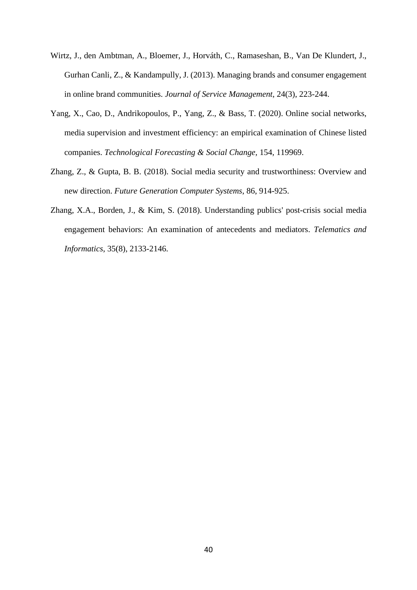- Wirtz, J., den Ambtman, A., Bloemer, J., Horváth, C., Ramaseshan, B., Van De Klundert, J., Gurhan Canli, Z., & Kandampully, J. (2013). Managing brands and consumer engagement in online brand communities. *Journal of Service Management*, 24(3), 223-244.
- Yang, X., Cao, D., Andrikopoulos, P., Yang, Z., & Bass, T. (2020). Online social networks, media supervision and investment efficiency: an empirical examination of Chinese listed companies. *Technological Forecasting & Social Change,* 154, 119969.
- Zhang, Z., & Gupta, B. B. (2018). Social media security and trustworthiness: Overview and new direction. *Future Generation Computer Systems*, 86, 914-925.
- Zhang, X.A., Borden, J., & Kim, S. (2018). Understanding publics' post-crisis social media engagement behaviors: An examination of antecedents and mediators. *Telematics and Informatics*, 35(8), 2133-2146.